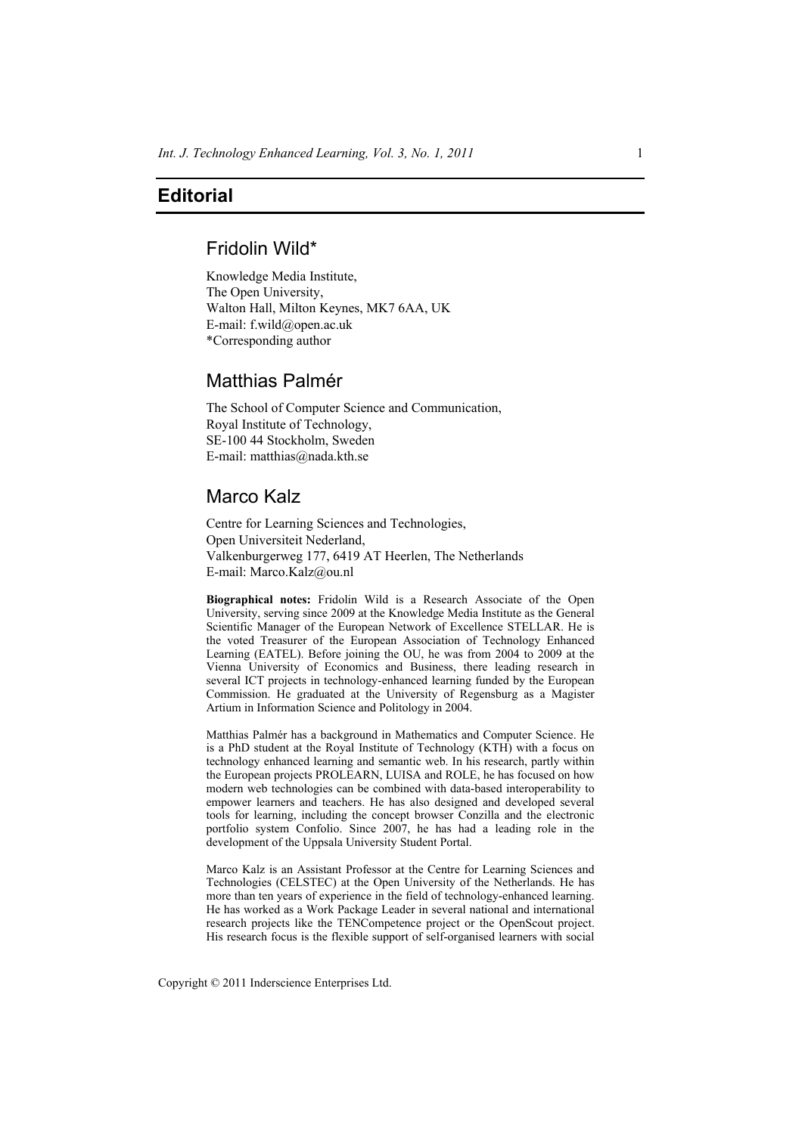## **Editorial**

### Fridolin Wild\*

Knowledge Media Institute, The Open University, Walton Hall, Milton Keynes, MK7 6AA, UK E-mail: f.wild@open.ac.uk \*Corresponding author

# Matthias Palmér

The School of Computer Science and Communication, Royal Institute of Technology, SE-100 44 Stockholm, Sweden E-mail: matthias@nada.kth.se

## Marco Kalz

Centre for Learning Sciences and Technologies, Open Universiteit Nederland, Valkenburgerweg 177, 6419 AT Heerlen, The Netherlands E-mail: Marco.Kalz@ou.nl

**Biographical notes:** Fridolin Wild is a Research Associate of the Open University, serving since 2009 at the Knowledge Media Institute as the General Scientific Manager of the European Network of Excellence STELLAR. He is the voted Treasurer of the European Association of Technology Enhanced Learning (EATEL). Before joining the OU, he was from 2004 to 2009 at the Vienna University of Economics and Business, there leading research in several ICT projects in technology-enhanced learning funded by the European Commission. He graduated at the University of Regensburg as a Magister Artium in Information Science and Politology in 2004.

Matthias Palmér has a background in Mathematics and Computer Science. He is a PhD student at the Royal Institute of Technology (KTH) with a focus on technology enhanced learning and semantic web. In his research, partly within the European projects PROLEARN, LUISA and ROLE, he has focused on how modern web technologies can be combined with data-based interoperability to empower learners and teachers. He has also designed and developed several tools for learning, including the concept browser Conzilla and the electronic portfolio system Confolio. Since 2007, he has had a leading role in the development of the Uppsala University Student Portal.

Marco Kalz is an Assistant Professor at the Centre for Learning Sciences and Technologies (CELSTEC) at the Open University of the Netherlands. He has more than ten years of experience in the field of technology-enhanced learning. He has worked as a Work Package Leader in several national and international research projects like the TENCompetence project or the OpenScout project. His research focus is the flexible support of self-organised learners with social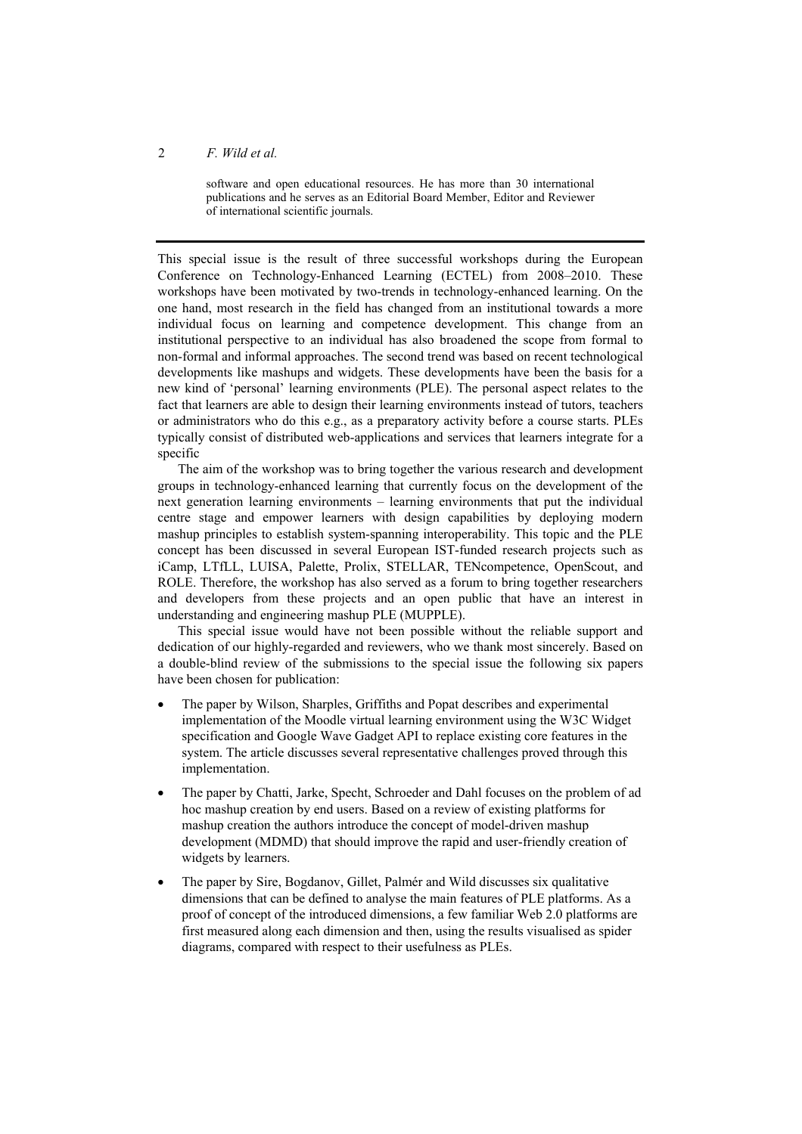#### 2 *F. Wild et al.*

software and open educational resources. He has more than 30 international publications and he serves as an Editorial Board Member, Editor and Reviewer of international scientific journals.

This special issue is the result of three successful workshops during the European Conference on Technology-Enhanced Learning (ECTEL) from 2008–2010. These workshops have been motivated by two-trends in technology-enhanced learning. On the one hand, most research in the field has changed from an institutional towards a more individual focus on learning and competence development. This change from an institutional perspective to an individual has also broadened the scope from formal to non-formal and informal approaches. The second trend was based on recent technological developments like mashups and widgets. These developments have been the basis for a new kind of 'personal' learning environments (PLE). The personal aspect relates to the fact that learners are able to design their learning environments instead of tutors, teachers or administrators who do this e.g., as a preparatory activity before a course starts. PLEs typically consist of distributed web-applications and services that learners integrate for a specific

The aim of the workshop was to bring together the various research and development groups in technology-enhanced learning that currently focus on the development of the next generation learning environments – learning environments that put the individual centre stage and empower learners with design capabilities by deploying modern mashup principles to establish system-spanning interoperability. This topic and the PLE concept has been discussed in several European IST-funded research projects such as iCamp, LTfLL, LUISA, Palette, Prolix, STELLAR, TENcompetence, OpenScout, and ROLE. Therefore, the workshop has also served as a forum to bring together researchers and developers from these projects and an open public that have an interest in understanding and engineering mashup PLE (MUPPLE).

This special issue would have not been possible without the reliable support and dedication of our highly-regarded and reviewers, who we thank most sincerely. Based on a double-blind review of the submissions to the special issue the following six papers have been chosen for publication:

- The paper by Wilson, Sharples, Griffiths and Popat describes and experimental implementation of the Moodle virtual learning environment using the W3C Widget specification and Google Wave Gadget API to replace existing core features in the system. The article discusses several representative challenges proved through this implementation.
- The paper by Chatti, Jarke, Specht, Schroeder and Dahl focuses on the problem of ad hoc mashup creation by end users. Based on a review of existing platforms for mashup creation the authors introduce the concept of model-driven mashup development (MDMD) that should improve the rapid and user-friendly creation of widgets by learners.
- The paper by Sire, Bogdanov, Gillet, Palmér and Wild discusses six qualitative dimensions that can be defined to analyse the main features of PLE platforms. As a proof of concept of the introduced dimensions, a few familiar Web 2.0 platforms are first measured along each dimension and then, using the results visualised as spider diagrams, compared with respect to their usefulness as PLEs.